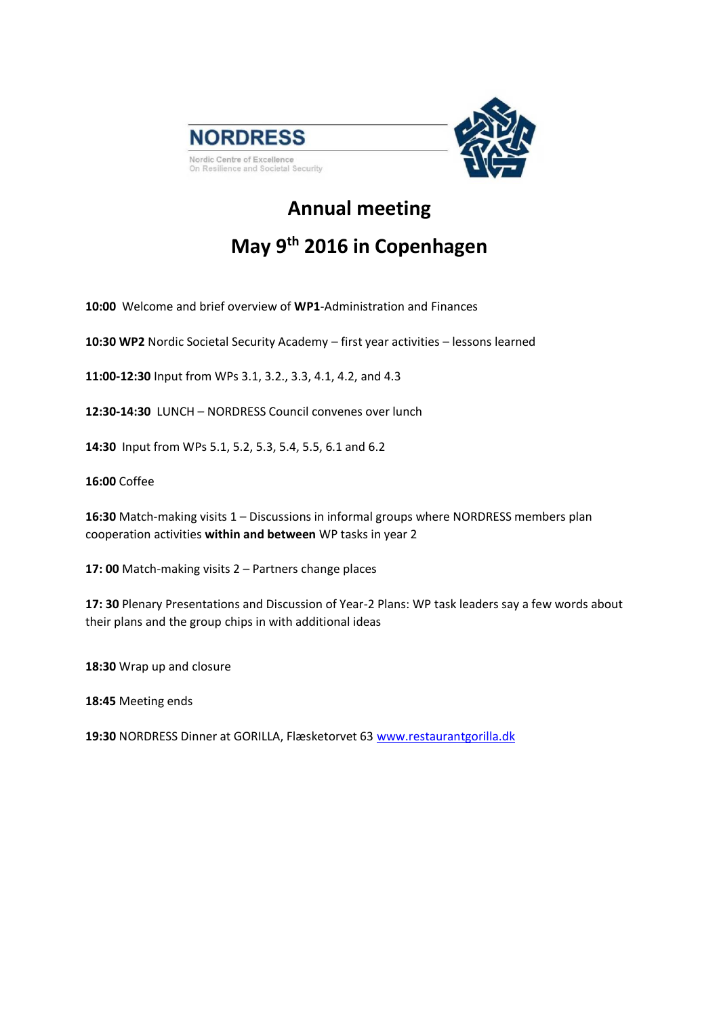

## **Annual meeting**

## **May 9th 2016 in Copenhagen**

**10:00** Welcome and brief overview of **WP1**-Administration and Finances

**10:30 WP2** Nordic Societal Security Academy – first year activities – lessons learned

**11:00-12:30** Input from WPs 3.1, 3.2., 3.3, 4.1, 4.2, and 4.3

**12:30-14:30** LUNCH – NORDRESS Council convenes over lunch

**14:30** Input from WPs 5.1, 5.2, 5.3, 5.4, 5.5, 6.1 and 6.2

**16:00** Coffee

**16:30** Match-making visits 1 – Discussions in informal groups where NORDRESS members plan cooperation activities **within and between** WP tasks in year 2

**17: 00** Match-making visits 2 – Partners change places

**17: 30** Plenary Presentations and Discussion of Year-2 Plans: WP task leaders say a few words about their plans and the group chips in with additional ideas

**18:30** Wrap up and closure

**18:45** Meeting ends

**19:30** NORDRESS Dinner at GORILLA, Flæsketorvet 63 [www.restaurantgorilla.dk](http://www.restaurantgorilla.dk/)